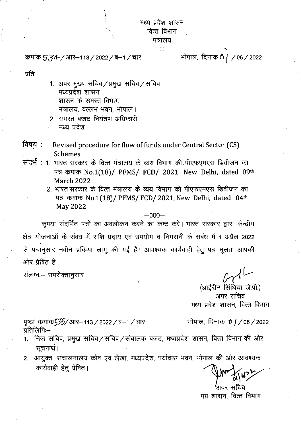मध्य प्रदेश शासन वित्त विभाग

> मंत्रालय  $-\mathbb{S}-$

क्रमांक 5,34-/आर-113 / 2022 / ब-1 / चार वार सोपाल, दिनांक 0 | / 06 / 2022

•

प्रति,

- 1. अपर मुख्य सचिव/प्रमुख सचिव/सचिव मध्यप्रदेश शासन शासन के समस्त विभाग *Halda, वल्लभ भवन, भोपाल।*
- 2. समस्त बजट नियंत्रण अधिकारी मध्य प्रदेश
- : Revised procedure for flow of funds under Central Sector (CS) Schemes
- संदर्भ : 1. भारत सरकार के वित्त मंत्रालय के व्यय विभाग की पीएफएमएस डिवीजन का पत्र कमांक No.1(18)/ PFMS/ FCD/ 2021, New Delhi, dated 09th March 2022
	- 2. भारत सरकार के वित्त मंत्रालय के व्यय विभाग की पीएफएमएस डिवीजन का पत्र कमांक No.1(18)/ PFMS/ FCD/ 2021, New Delhi, dated 04th May 2022

—000—

कृपया संदर्भित पत्रों का अवलोकन करने का कष्ट करें। भारत सरकार द्वारा केन्द्रीय क्षेत्र योजनाओं के संबंध में राशि प्रदाय एवं उपयोग व निगरानी के संबंध में 1 अप्रैल 2022 से पत्रानुसार नवीन प्रकिया लागू की गई है। आवश्यक कार्यवाही हेतु पत्र मूलतः आपकी ओर प्रेषित है।

संलग्नः- उपरोक्तानुसार

(आईरीन सिंथिया जे.पी.) अपर सचिव मध्य प्रदेश शासन, वित्त विभाग

पृष्ठां कमांक $\frac{535}{1}$ आर–113 / 2022 / ब–1 / चार भोपाल, दिनांक  $0$  / / 06 / 2022 प्रतिलिपिः $-$ 

- 
- $1.$  निज सचिव, प्रमुख सचिव/सचिव/संचालक बजट, मध्यप्रदेश शासन, वित्त विभाग की ओर सूचनार्थ ।
- 2. आयुक्त, संचालनालय कोष एवं लेखा, मध्यप्रदेश, पर्यावास भवन, भोपाल की ओर आवश्यक कार्यवाही हेतु प्रेषित।

ावर सचिव मप्र शासन, वित्त विभाग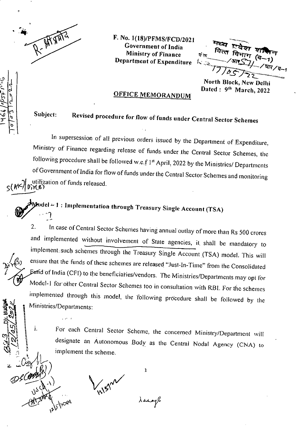

ユペペ /クット・

F. No. 1(18)/PFMS/FCD/2021 Government of India Ministry of Finance 1978.<br>Department of Expenditure 1,...

: 7- ... .<br>रो

North Block, New Delhi Dated : 9<sup>th</sup> March, 2022

# OFFICE MEMORANDUM

Subject: Revised procedure for flow of funds under Central Sector Schemes

In supersession of all previous orders issued by the Department of Expenditure, Ministry of Finance regarding release of funds. under the Central Sector Schemes, the following procedure shall be followed w.e.f  $1^{st}$  April, 2022 by the Ministries/ Departments of Government of India for flow of funds under the Central Sector Schemes and monitoring utilization of funds released. IN 8)

 $\pmb{\text{\#}odd=1:}$  Implementation through Treasury Single Account (TSA)

2. In case of Central Sector Schenies having annual outlay of more than Rs 500 crores and implemented without involvement of State agencies, it shall be mandatory to implement:snob schemes through the Treasury Single Account (TSA) model, This will ensure that the funds of these schemes are released "Just-In-Time" from the Consolidated Eund of India (CFI) to the beneficiaties/vendors. The Ministries/Departments may opt for Model-1 for other central Sector Schemes too in consultation with R.BI. For the schemes implemented through this model, the 'following procedure shall be followed by the Ministries/Departments:

i. For each Central Sector Scheme, the concerned Ministry/Department will designate an Autonomous Body as the Central Nodal Agency (CNA) to implement the scheme.

**AIS**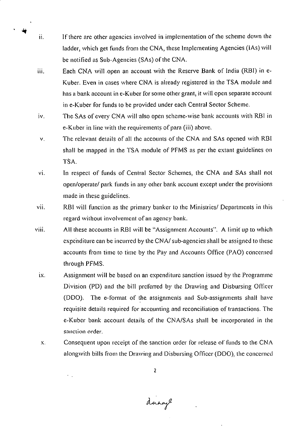- ii. If there are other agencies involved in implementation of the scheme down the ladder, which get funds from the CNA, these Implementing Agencies (lAs) will be notified as Sub-Agencies (SAs) of the CNA.
- iii. Each CNA will .open an account with the Reserve Bank of India (RBI) in e-Kuber. Even in eases where CNA is already registered in the TSA module and has a bank account in e-Kuber for some other grant, it will open separate account in e-Kuber for funds to be provided under each Central Sector Scheme.
- iv. The SAs of every CNA will also open scheme-wise bank accounts with RBI in e-Kuber in. line with the requirements of para (iii) above.
- The relevant details of all the accounts of the CNA and SAs opened with RBI V. shall be mapped in the TSA module of PFMS as per the extant guidelines on TSA.
- vi. In respect of funds of Central Sector Schemes, the CNA and SAs shall not open/operate/ park funds in any other bank account except under the provisions made in these guidelines.
- vii. RBI Will function as the primary banker to the Ministries/ Departments in this regard without involvement of an agency bank.
- viii. All these accounts in RBI will be "Assignment Accounts". A limit up to which expenditure can be incurred by the CNA/ sub-agencies shall be assigned to these accounts from time to time by the Pay and Accounts Office (PAO) concerned through PFMS.
	- ix. Assignment will be based on an expenditure sanction issued by the Programme Division (PD) and the bill preferred by the Drawing and Disbursing Officer (DD0). The e-format of the assignments and Sub-assignments shall have requisite details required for accounting and reconciliation of transactions. The e-Kuber bank account details:of the CNA/SAs shall be incorporated in the sanction order.
	- $\mathbf{X}$ . Consequent upon receipt of the sanction order for release of funds to the CNA alongwith bills from the Drawing and Disbursing Officer (DDO), the concerned

dange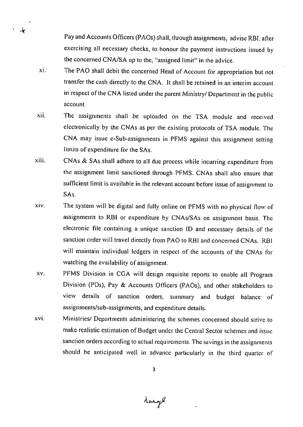Pay and Accounts Officers (PA0s) shall, through assignments, advise RBI, after exercising all necessary checks, to honour the payment instructions issued by the concerned CNA/SA up to the, "assigned limit" in the advice.

xi. The PAO shall debit the concerned Head of Account for appropriation but not transfer the cash directly to the CNA. It shall be retained in an interim account in respect of the CN.A listed under the parent Ministry/ Department in the public account.

 $\mathcal{A}$ 

- The assignments shall be uploaded on the TSA module and received xii. electronically by the CNAs as per the existing protocols of TSA module. The CNA may issue e-Sub-assignments in PFMS against this assignment setting limits of expenditure for the SAs.
- xiii. CNAs & SAs shall adhere to all due process while incurring expenditure from the assignment limit sanctioned through PFMS. CNAs shall also ensure that sufficient limit is available in the relevant account before issue of assignment to SAs.
- xiv. The system will be digital and. fully online on PFMS with no physical flow of assignments to RBI or expenditure by CNAs/SAs on assignment basis. The electronic file containing a unique sanction ID and necessary details of the sanction order will travel directly from PAO to RBI and concerned CNAs. RBI will maintain individual ledgers in respect of the accounts of the CNAs for watching the availability of assignment.
- xy. pFms Division in CGA will design requisite reports to enable all Program Division (PDs), Pay & Accounts Officers (PA0s), and other stakeholders to view details of sanction orders, summary and budget balance of assignments/sub-assignments, and expenditure details.
- xvi. Ministries/ Departments administering the schemes concerned should strive to make realistic estimation of Budget under the Central Sector schemes and issue sanction orders according to actual requirements. The savings in the assignments should be anticipated well in advance particularly in the third quarter of

3

Lange

 $\overline{a}$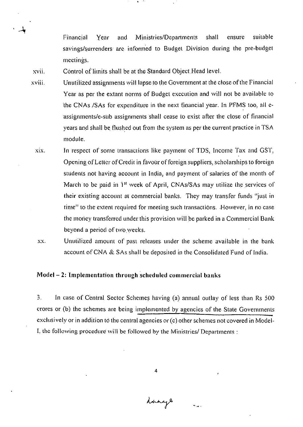Financial Year and Ministries/Departments shall ensure suitable savings/surrenders are informed to Budget Division during the pre-budget meetings.

xvii. Control of limits shall be at the Standard Object Head level.

- xviii. Unutilized assignments will lapse to the Government at the close of the Financial Year as per the extant norms of Budget execution and will not be available to the CNAs /SAs for expenditure in the next financial year. In PFMS too, all eassignments/e-sub assignments Shall cease to exist after the close of financial years and shall be. flushed out from the system as per the current practice in TSA module.
	- xix. In respect of some transactions like payment of TDS, Income Tax and GST, Opening of Letter of Credit in favour of foreign suppliers, scholarships to foreign students not having account in India, and payment of salaries of the month of March to be paid in 1<sup>st</sup> week of April. CNAs/SAs may utilize the services of their existing account at commercial banks. They may transfer funds "just in time" to the extent required for meeting such transactions. However, in no case the money transferred under this provision will be parked in a Commercial Bank beyond a period of two weeks.
	- XX. Unutilized amount of past releases under the scheme available in the bank account of CNA & SAs shall be deposited in the Consolidated Fund of India.

### Model —2: Implementation through scheduled commercial banks

3. In case of Central Sector Schemes having (a) annual outlay of less than Rs 500 crores or (b) the schemes are being implemented by agencies of the State Governments exclusively or in addition to the central agencies or (e) other schemes not covered in Model-1, the following procedure will be followed by the Ministries/ Departments :

4

dange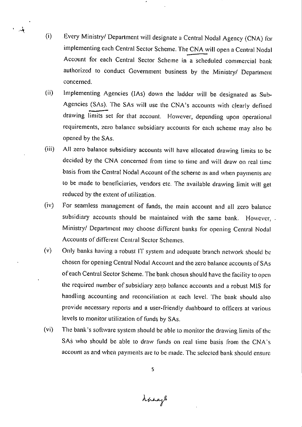.Every Ministry/ Department will designate a Central Nodal Agency (CNA) for  $(i)$ implementing each Central Sector Scheme. The CNA will open a Central Nodal Account for each Central Sector Scheme in a Scheduled commercial bank authorized to conduct Government business by the Ministry/ Department concerned.

 $\overrightarrow{A}$ 

- $(ii)$ Implementing Agencies (lAs) down the ladder will be designated as Sub-Agencies (SAs). The SAs will use the CNA's accounts with clearly defined drawing limits set for that account. However, depending upon operational requirements, zero balance subsidiary accounts for each scheme may also be opened by the SAs.
- $(iii)$ All zero balance subsidiary accounts will have allocated drawing limits to be decided by the CNA concerned from time to time and will draw on real time basis from the Central Nodal Account of the Scheme as and when payments are to be made to beneficiaries, vendors etc. The available drawing limit will get reduced by the extent of utilization.
- $(iv)$ For seamless management of funds, the main account and all zero balance subsidiary accounts should be maintained with the same bank. However, . Ministry/ Department may choose different banks for opening Central Nodal Accounts of different Central Sector Schemes.
- $(v)$ Only banks having a robust IT system and adequate branch network should be chosen for opening Central Nodal Account and the zero balance accounts of SAs of each Central Sector Scheme. The bank chosen should have the facility to open the required number of subsidiary zero balance accounts and a robust MIS for handling accounting and reconciliation at each level. The bank should also provide necessary reports and a user-friendly dashboard to officers at various levels to monitor utilization of funds by SAs.
- The bank's software system. should be able to monitor the drawing limits of the  $(v<sub>i</sub>)$ SAs who should be able to draw funds on real time basis from the CNA's account as and when payments are to be made. The selected bank should ensure

Lange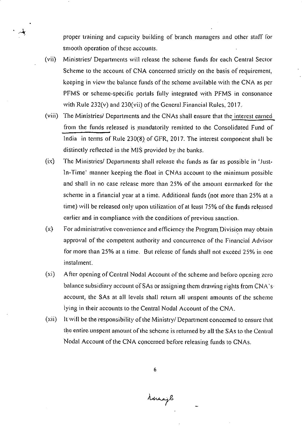proper training and capacity building of branch managers and other staff for smooth operation of these aceounts.

Ministries/ Departments will release the scheme funds for each Central Sector  $(vii)$ Scheme to the account of CNA concerned strictly on the basis of requirement, keeping in view the balance funds of the scheme available with the CNA as per PFMS or scheme-specific portals fully integrated with PFMS in consonance with Rule  $232(v)$  and  $230(vii)$  of the General Financial Rules,  $2017$ .

بالمد

- $(viii)$ The Ministries/ Departments and the CNAs shall ensure that the interest earned from the funds released is mandatorily remitted to the Consolidated Fund of India in terms of Rule 230(8) of GFR, 2017. The interest component shall be distinctly reflected in the MIS provided by the banks.
- $(ix)$ The Ministries/ Departments shall release the funds as far as possible in 'Justin-Time' manner keeping the float in CNAs account to the minimum possible and shall in no case release more than 25% of the amount earmarked for the scheme in a financial year at a time. Additional funds (not more than 25% at a time) will be released only upon utilization of at least 75% of the funds released earlier and in compliance with the conditions of previous sanction.
- $(x)$ For administrative convenience and efficiency the Program Division may obtain approval of the competent authority and concurrence of the Financial Advisor for more than 25% at a time. But release of funds shall not exceed 25% in one instalment.
- $(x<sub>i</sub>)$ After opening of Central Nodal Account of the scheme and before opening zero balance subsidiary account of SAs or assigning them drawing rights from  $CNA$ 'saccount, the SAs at all levels shall return all unspent amounts of the scheme lying in their accounts to the Central Nodal Account of the CNA.
- (xii) It will be the responsibility of the Ministry/ Department concerned to ensure that the entire unspent amount of the scheme is returned by all the SAs to the Central Nodal Account of the CNA concerned before releasing funds to CNAs.

Menajle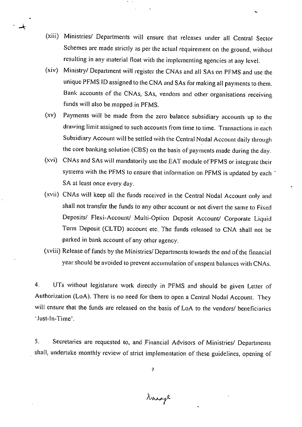- Ministries/ Departments will ensure that releases under all Central Sector Schemes are made strictly as per the actual requirement on the ground, without resulting in any material float with the implementing agencies at any level.
- Ministry/ Department will register the CNAs and all SAs on PFMS and use the  $(xiv)$ unique PFMS ID assigned to the CNA and SAs for making all payments to them. Bank accounts of the CNAs, SAs, vendors and other organisations receiving funds will also be mapped in PFMS.
- Payments will be made from the zero balance subsidiary accounts up to the  $(xy)$ drawing limit assigned to such accounts from time to time. Transactions in each Subsidiary Account will be settled with the Central Nodal Account daily through the core banking solution (CBS) on the basis of payments made during the day.
- CNAs and SAs will mandatorily use the EAT module of PENS or integrate their systems with the PFMS to ensure that information on PFMS is updated by each SA at least once every day.
- CNAs will keep all the funds received in the Central Nodal Account only and shall not transfer the funds to any other account or not divert the same to Fixed Deposits/ Flexi-Account/ Multi-Option Deposit Account/ Corporate Liquid Term Deposit (CLTD) account etc. The funds released to CNA shall not be parked in bank account of any other agency.
- Release of funds by the Ministries/Departments towards the end of the financial year should be avoided to prevent accumulation of unspent balances with CNAs.

 $4.$ UTs without legislature work directly in PFMS and should be given Letter of Authorization (LoA). There is no need for them to open a Central Nodal Account. They will ensure that the funds are released on the basis of LoA to the vendors/ beneficiaries Just-In-Time' .

5. Secretaries are requested to, and 'Financial Advisors of Ministries/ Departments shall, undertake monthly review of strict implementation of these guidelines, opening of

Narage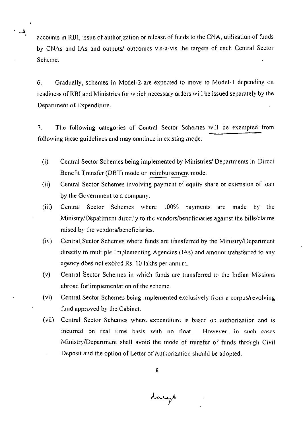accounts in RBI, issue of authorization or release of funds to the CNA, utilization of funds by CNAS and lAs and outputs/ Outcomes vis-a-vis the targets of each Central Sector Scheme.

 $-\frac{2}{3}$ 

6. Gradually, schemes in Model-2 are expected to move to Model-I depending on readiness of RBI and Ministries for which necessary orders will be issued separately by the Department of Expenditure.

 $7<sub>1</sub>$ The following categories of Central Sector Schemes will be exempted from following these guidelines and may continue in existing mode:

- $(i)$ Central Sector Schemes being implemented by Ministries/ Departments in Direct Benefit Transfer (DBT) mode or reimbursement mode.
- $(ii)$ Central Sector Schemes involving payment of equity share or extension of loan by the Government to a company.
- Central Sector Schemes where 100% payments are made by the  $(iii)$ Ministry/Department directly to the vendors/beneficiaries against the bills/claims raised by the vendors/beneficiaries.
- $(iv)$ Central Sector Schemes where funds are transferred by the Ministry/Department directly to multiple Implementing Agencies (IAs) and amount transferred to any agency does not exceed Rs. 10 lakhs per annum.
- .(v) Central Sector Schemes in which funds are transferred to the Indian Missions abroad for implementation of the scheme.
- $(v<sub>i</sub>)$ Central Sector Schemes being implemented exclusively from a corpus/revolving. fund approved by the Cabinet.
- $(vii)$ Central Sector Schemes where expenditure is based on authorization and is incurred on real time basis with no float. However, in such cases Ministry/Department shall avoid the mode of transfer of funds through Civil Deposit and the option of Letter of Authorization should be adopted.

Linage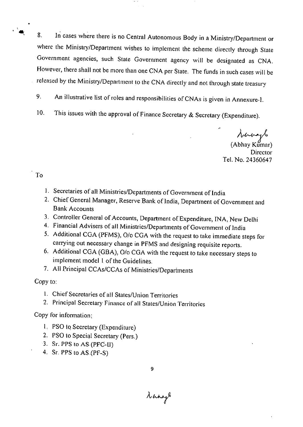In cases where there is no Central Autonomous Body in a Ministry/Department or 8. where the Ministry/Department wishes to implement the scheme directly through State Government agencies, such State Government agency will be designated as CNA. However, there shall not be more than one CNA per State. The funds in such cases will be released by the Ministry/Department to the CNA directly and not through state treasury

9. An illustrative list of roles and responsibilities of CNAs is given in Annexure-I.

10. This issues with the approval of Finance Secretary & Secretary (Expenditure).

 $\mathcal{N}^{\prime}$ 

(Abhay Kumar) **Director** Tel. No. 24360647

## To

 $\mathbf{A}$ 

- 1. Secretaries of all Ministries/Departments of Government of India
- Chief General Manager, Reserve Bank of India, Department of Government and Bank Accounts
- Controller General of Accounts, Department of Expenditure, INA, New Delhi
- Financial Advisers of all Ministries/Departments of Government of India
- Additional CGA (PFMS), 0/o CGA with the request to take immediate steps for carrying out necessary change in PFMS and designing requisite reports.
- Additional CGA (GBA), 0/o CGA with the request to take necessary steps to implement model 1 of the Guidelines.
- All Principal CCAs/CCAs of Ministries/Departments

## Copy to:

- I. Chief Secretaries of all States/Union Territories
- 2. Principal Secretary Finance of all States/Union Territories

## Copy for information;

- I. PSO to Secretary (Expenditure)
- PSO to Special Secretary (Pers.)
- 3. Sr. PPS to AS (PFC-II)
- Sr. PPS to AS.(PF-S)

 $\lambda$ angs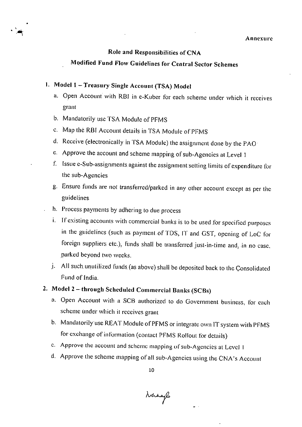#### Annexure

## Role and Responsibilities of CNA

## Modified Fund Flow Guidelines for Central Sector Schemes

# I. Model 1 —Treasury Single Account (TSA) Model

- a. Open Account with RBI in e-Kuber for each scheme under which it receives grant
- b. Mandatorily use TSA Module of PFMS
- Map the RBI Account details in 'ISA Module of PFM.S
- d. Receive (electronically in TSA Module) the assignment done by the PAO
- c. Approve the account and scheme mapping of sub-Agencies at Level I
- f. Issue e-Sub-assignments against the assignment setting limits of expenditure for the sub-Agencies
- g. Ensure funds are not transferred/parked in any other account except as per the guidelines.
- . h. Process payments by adhering to due process
	- i. If existing accounts with commercial banks is to be used for specified purposes in the guidelines (such as payment of TDS, IT and GST, opening of LoC for foreign suppliers. etc.), funds shall be transferred just-in-time and, in no case, parked beyond two weeks.
- j. All such unutilized funds (as above) shall be deposited back to the Consolidated .Fund of India.

# 2. Model 2 -- through Scheduled Commercial Banks (SCBs)

- Open Account with a SCB authorized to do Government business, for each scheme under which it receives grant
- b. Mandatorily use REAT Module of PFMS or integrate own IT system with PFMS for exchange of information (contact PFMS Rollout for details)
- Approve the account and scheme mapping of sub-Agencies at Level I
- Approve the scheme mapping of all sub-Agencies using the CNA's Account

Nanagh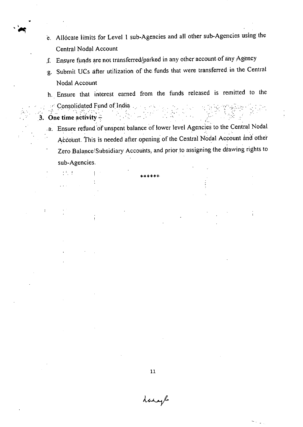- e. Allocate limits for Level 1 sub-Agencies and all other sub-Agencies using the Central Nodal Account
- f. Ensure funds are not transferred/parked in any other account of any Agency
- Submit UCs after utilization of the funds that were transferred. in the Central Nodal Account
- Ensure that interest earned from the funds released is remitted to the Consolidated Fund of India .
- **3. One time activity**

 $\frac{1}{2}$  ,  $\frac{1}{2}$  ,  $\frac{1}{2}$ 

 $\mathcal{L}(\mathbf{x},\mathbf{y})$ 

ŧ

 $\blacktriangleright$ 

a. Ensure refund of unspent balance of lower level Agencies to the Central Nodal Account. This is needed after opening of the Central Nodal Account and other Zero Balance Subsidiary Accounts, and prior to assigning the drawing rights to sub-Agencies.

11

Laragle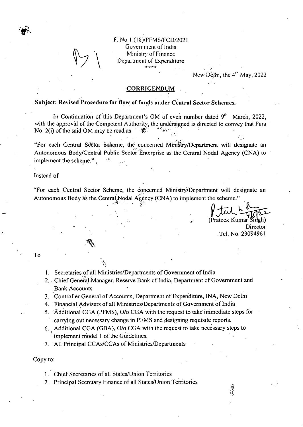

### F. No I (18)/PFMS/FCD/202 Government of India Ministry of Finance Department of Expenditure \*\*\*\*

New Delhi, the 4<sup>th</sup> May, 2022

### CORRIGENDUM

. Subject: Revised Procedure for flow of funds under Central Sector Schemes.

In Continuation of this Department's OM of even number dated 9<sup>th</sup> March, 2022, with the approval of the Competent Authority, the undersigned is directed to convey that Para No. 2(i) of the said OM may be read as  $-61$ 

"For each Central Sector Scheme, the concerned Ministry/Department will designate an Autonomous Body/Central Public Sector Enterprise as the Central Nodal Agency (CNA) to implement the scheme.".

### Instead of

"For each Central Sector Scheme, the concerned Ministry/Department will designate an Autonomous Body as the Central Nodal Agency (CNA) to implement the scheme."

(Prateek Kumar Singh)

Director Tel. No. 23094961

To

I. Secretaries of all Ministries/Departments of Government of India

- Chief General:Manager, Reserve Bank of India, Department of Government and . Bank Accounts
- Controller General of Accounts, Department of Expenditure, INA, New Delhi
- 4. Financial Advisers of all Ministries/Departments of Government of India
- 5. Additional CGA (PFMS), O/o CGA with the request to take immediate steps for carrying out necessary change in PFMS and designing requisite reports.
- Additional CGA (GBA), 0/o CGA with the request to take necessary steps to implement model 1 of the Guidelines.
- All Principal CCAs/CCAs of Ministries/Departments

Copy to:

- I. Chief Secretaries of all States/Union Territories
- 2. Principal Secretary Finance of all States/Union Territories